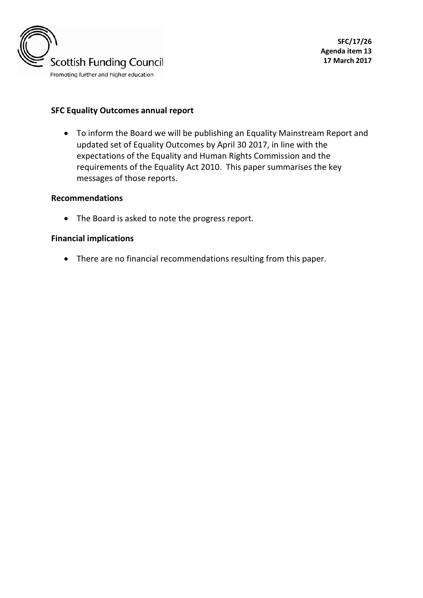

### **SFC Equality Outcomes annual report**

• To inform the Board we will be publishing an Equality Mainstream Report and updated set of Equality Outcomes by April 30 2017, in line with the expectations of the Equality and Human Rights Commission and the requirements of the Equality Act 2010. This paper summarises the key messages of those reports.

#### **Recommendations**

• The Board is asked to note the progress report.

#### **Financial implications**

• There are no financial recommendations resulting from this paper.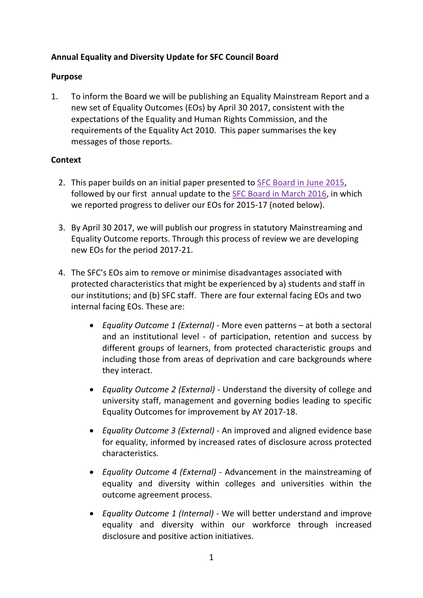# **Annual Equality and Diversity Update for SFC Council Board**

## **Purpose**

1. To inform the Board we will be publishing an Equality Mainstream Report and a new set of Equality Outcomes (EOs) by April 30 2017, consistent with the expectations of the Equality and Human Rights Commission, and the requirements of the Equality Act 2010. This paper summarises the key messages of those reports.

# **Context**

- 2. This paper builds on an initial paper presented to [SFC Board in June 2015,](http://links.sfc.ac.uk/livelinkdav/nodes/245253833/•%09The%20Board%20is%20informed%20that%20SFC%20is%20in%20the%20process%20of%20drafting%20statutory%20equality%20and%20diversity%20reports%20for%20publication%20by%2030%20April%202017%20in%20accordance%20with%20the%20requirements%20of%20the%20Equality%20Act%202010.) followed by our first annual update to the [SFC Board in March 2016,](http://www.sfc.ac.uk/web/FILES/CNP_Councilmeeting11March2016_11032016/SFC16_17_Equality_and_Diversity_annual_update.pdf) in which we reported progress to deliver our EOs for 2015-17 (noted below).
- 3. By April 30 2017, we will publish our progress in statutory Mainstreaming and Equality Outcome reports. Through this process of review we are developing new EOs for the period 2017-21.
- 4. The SFC's EOs aim to remove or minimise disadvantages associated with protected characteristics that might be experienced by a) students and staff in our institutions; and (b) SFC staff. There are four external facing EOs and two internal facing EOs. These are:
	- *Equality Outcome 1 (External)* More even patterns at both a sectoral and an institutional level - of participation, retention and success by different groups of learners, from protected characteristic groups and including those from areas of deprivation and care backgrounds where they interact.
	- *Equality Outcome 2 (External)* Understand the diversity of college and university staff, management and governing bodies leading to specific Equality Outcomes for improvement by AY 2017-18.
	- *Equality Outcome 3 (External)*  An improved and aligned evidence base for equality, informed by increased rates of disclosure across protected characteristics.
	- *Equality Outcome 4 (External)* Advancement in the mainstreaming of equality and diversity within colleges and universities within the outcome agreement process.
	- *Equality Outcome 1 (Internal)* We will better understand and improve equality and diversity within our workforce through increased disclosure and positive action initiatives.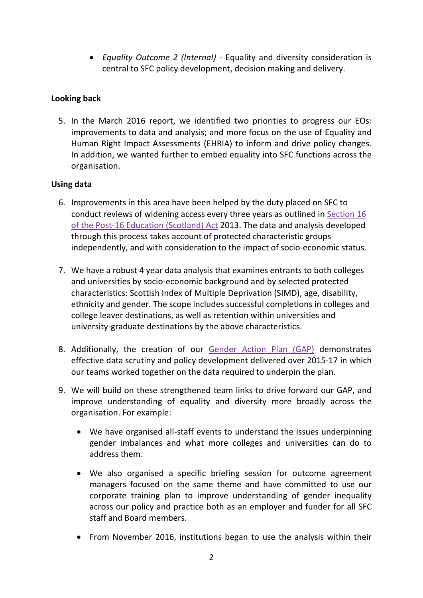• *Equality Outcome 2 (Internal)* - Equality and diversity consideration is central to SFC policy development, decision making and delivery.

# **Looking back**

5. In the March 2016 report, we identified two priorities to progress our EOs: improvements to data and analysis; and more focus on the use of Equality and Human Right Impact Assessments (EHRIA) to inform and drive policy changes. In addition, we wanted further to embed equality into SFC functions across the organisation.

# **Using data**

- 6. Improvements in this area have been helped by the duty placed on SFC to conduct reviews of widening access every three years as outlined in [Section 16](http://www.legislation.gov.uk/asp/2013/12/section/16)  [of the Post-16 Education \(Scotland\) Act](http://www.legislation.gov.uk/asp/2013/12/section/16) 2013. The data and analysis developed through this process takes account of protected characteristic groups independently, and with consideration to the impact of socio-economic status.
- 7. We have a robust 4 year data analysis that examines entrants to both colleges and universities by socio-economic background and by selected protected characteristics: Scottish Index of Multiple Deprivation (SIMD), age, disability, ethnicity and gender. The scope includes successful completions in colleges and college leaver destinations, as well as retention within universities and university-graduate destinations by the above characteristics.
- 8. Additionally, the creation of our [Gender Action Plan](http://www.sfc.ac.uk/web/FILES/Corporate_publications_SFCCP052016_GenderActionPlan/SFCCP052016_Gender_Action_Plan.pdf) (GAP) demonstrates effective data scrutiny and policy development delivered over 2015-17 in which our teams worked together on the data required to underpin the plan.
- 9. We will build on these strengthened team links to drive forward our GAP, and improve understanding of equality and diversity more broadly across the organisation. For example:
	- We have organised all-staff events to understand the issues underpinning gender imbalances and what more colleges and universities can do to address them.
	- We also organised a specific briefing session for outcome agreement managers focused on the same theme and have committed to use our corporate training plan to improve understanding of gender inequality across our policy and practice both as an employer and funder for all SFC staff and Board members.
	- From November 2016, institutions began to use the analysis within their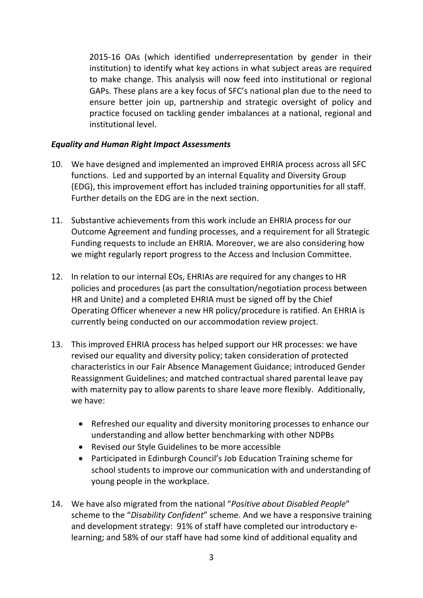2015-16 OAs (which identified underrepresentation by gender in their institution) to identify what key actions in what subject areas are required to make change. This analysis will now feed into institutional or regional GAPs. These plans are a key focus of SFC's national plan due to the need to ensure better join up, partnership and strategic oversight of policy and practice focused on tackling gender imbalances at a national, regional and institutional level.

### *Equality and Human Right Impact Assessments*

- 10. We have designed and implemented an improved EHRIA process across all SFC functions. Led and supported by an internal Equality and Diversity Group (EDG), this improvement effort has included training opportunities for all staff. Further details on the EDG are in the next section.
- 11. Substantive achievements from this work include an EHRIA process for our Outcome Agreement and funding processes, and a requirement for all Strategic Funding requests to include an EHRIA. Moreover, we are also considering how we might regularly report progress to the Access and Inclusion Committee.
- 12. In relation to our internal EOs, EHRIAs are required for any changes to HR policies and procedures (as part the consultation/negotiation process between HR and Unite) and a completed EHRIA must be signed off by the Chief Operating Officer whenever a new HR policy/procedure is ratified. An EHRIA is currently being conducted on our accommodation review project.
- 13. This improved EHRIA process has helped support our HR processes: we have revised our equality and diversity policy; taken consideration of protected characteristics in our Fair Absence Management Guidance; introduced Gender Reassignment Guidelines; and matched contractual shared parental leave pay with maternity pay to allow parents to share leave more flexibly. Additionally, we have:
	- Refreshed our equality and diversity monitoring processes to enhance our understanding and allow better benchmarking with other NDPBs
	- Revised our Style Guidelines to be more accessible
	- Participated in Edinburgh Council's Job Education Training scheme for school students to improve our communication with and understanding of young people in the workplace.
- 14. We have also migrated from the national "*Positive about Disabled People*" scheme to the "*Disability Confident*" scheme. And we have a responsive training and development strategy: 91% of staff have completed our introductory elearning; and 58% of our staff have had some kind of additional equality and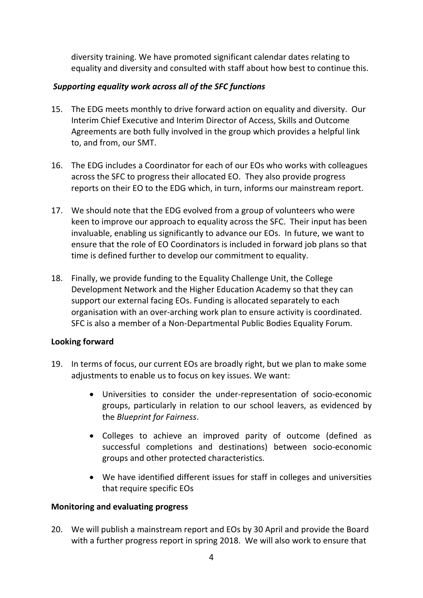diversity training. We have promoted significant calendar dates relating to equality and diversity and consulted with staff about how best to continue this.

## *Supporting equality work across all of the SFC functions*

- 15. The EDG meets monthly to drive forward action on equality and diversity. Our Interim Chief Executive and Interim Director of Access, Skills and Outcome Agreements are both fully involved in the group which provides a helpful link to, and from, our SMT.
- 16. The EDG includes a Coordinator for each of our EOs who works with colleagues across the SFC to progress their allocated EO. They also provide progress reports on their EO to the EDG which, in turn, informs our mainstream report.
- 17. We should note that the EDG evolved from a group of volunteers who were keen to improve our approach to equality across the SFC. Their input has been invaluable, enabling us significantly to advance our EOs. In future, we want to ensure that the role of EO Coordinators is included in forward job plans so that time is defined further to develop our commitment to equality.
- 18. Finally, we provide funding to the Equality Challenge Unit, the College Development Network and the Higher Education Academy so that they can support our external facing EOs. Funding is allocated separately to each organisation with an over-arching work plan to ensure activity is coordinated. SFC is also a member of a Non-Departmental Public Bodies Equality Forum.

## **Looking forward**

- 19. In terms of focus, our current EOs are broadly right, but we plan to make some adjustments to enable us to focus on key issues. We want:
	- Universities to consider the under-representation of socio-economic groups, particularly in relation to our school leavers, as evidenced by the *Blueprint for Fairness*.
	- Colleges to achieve an improved parity of outcome (defined as successful completions and destinations) between socio-economic groups and other protected characteristics.
	- We have identified different issues for staff in colleges and universities that require specific EOs

## **Monitoring and evaluating progress**

20. We will publish a mainstream report and EOs by 30 April and provide the Board with a further progress report in spring 2018. We will also work to ensure that